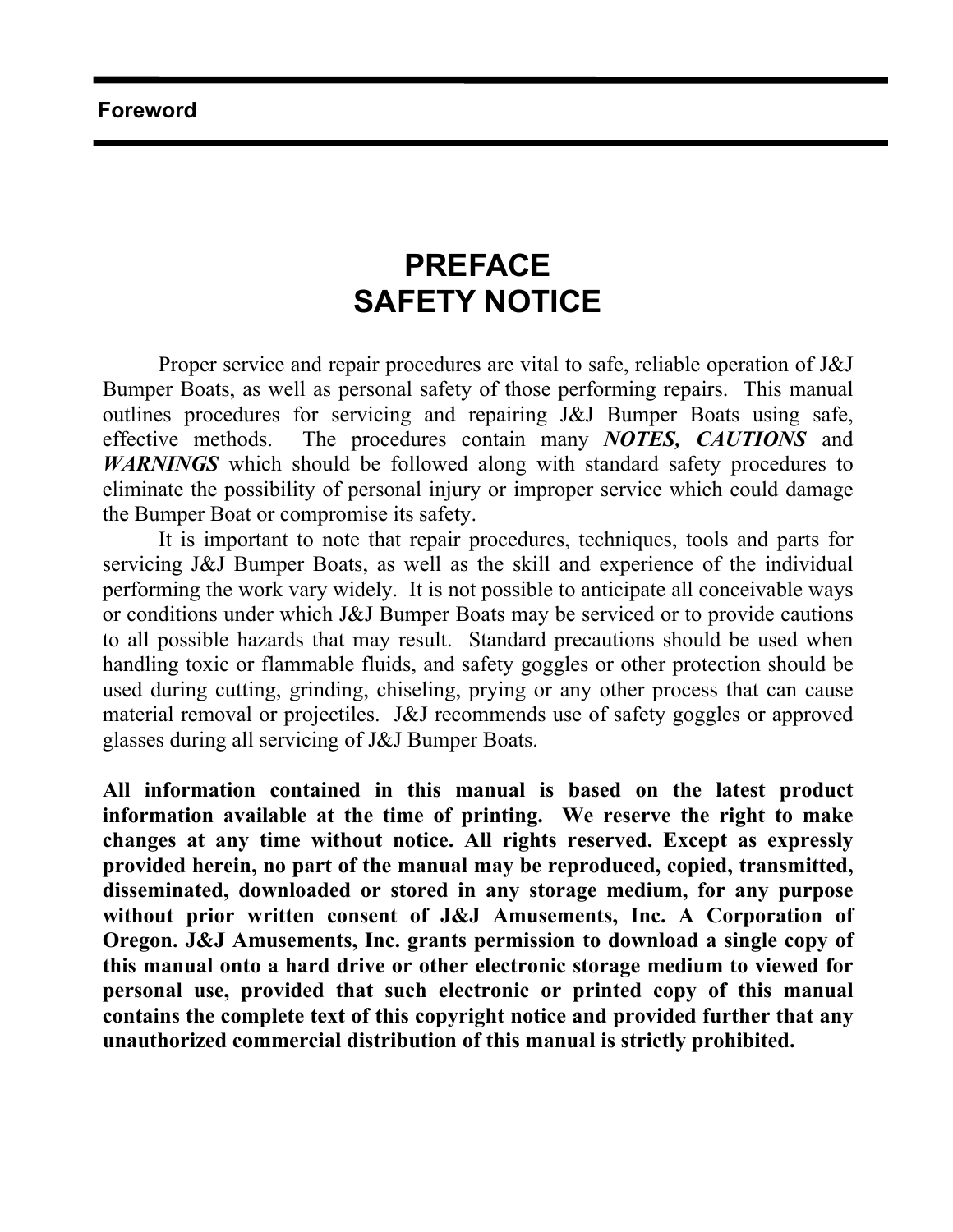### **Foreword**

## **PREFACE SAFETY NOTICE**

Proper service and repair procedures are vital to safe, reliable operation of J&J Bumper Boats, as well as personal safety of those performing repairs. This manual outlines procedures for servicing and repairing J&J Bumper Boats using safe, effective methods. The procedures contain many *NOTES, CAUTIONS* and *WARNINGS* which should be followed along with standard safety procedures to eliminate the possibility of personal injury or improper service which could damage the Bumper Boat or compromise its safety.

 It is important to note that repair procedures, techniques, tools and parts for servicing J&J Bumper Boats, as well as the skill and experience of the individual performing the work vary widely. It is not possible to anticipate all conceivable ways or conditions under which J&J Bumper Boats may be serviced or to provide cautions to all possible hazards that may result. Standard precautions should be used when handling toxic or flammable fluids, and safety goggles or other protection should be used during cutting, grinding, chiseling, prying or any other process that can cause material removal or projectiles. J&J recommends use of safety goggles or approved glasses during all servicing of J&J Bumper Boats.

**All information contained in this manual is based on the latest product information available at the time of printing. We reserve the right to make changes at any time without notice. All rights reserved. Except as expressly provided herein, no part of the manual may be reproduced, copied, transmitted, disseminated, downloaded or stored in any storage medium, for any purpose without prior written consent of J&J Amusements, Inc. A Corporation of Oregon. J&J Amusements, Inc. grants permission to download a single copy of this manual onto a hard drive or other electronic storage medium to viewed for personal use, provided that such electronic or printed copy of this manual contains the complete text of this copyright notice and provided further that any unauthorized commercial distribution of this manual is strictly prohibited.**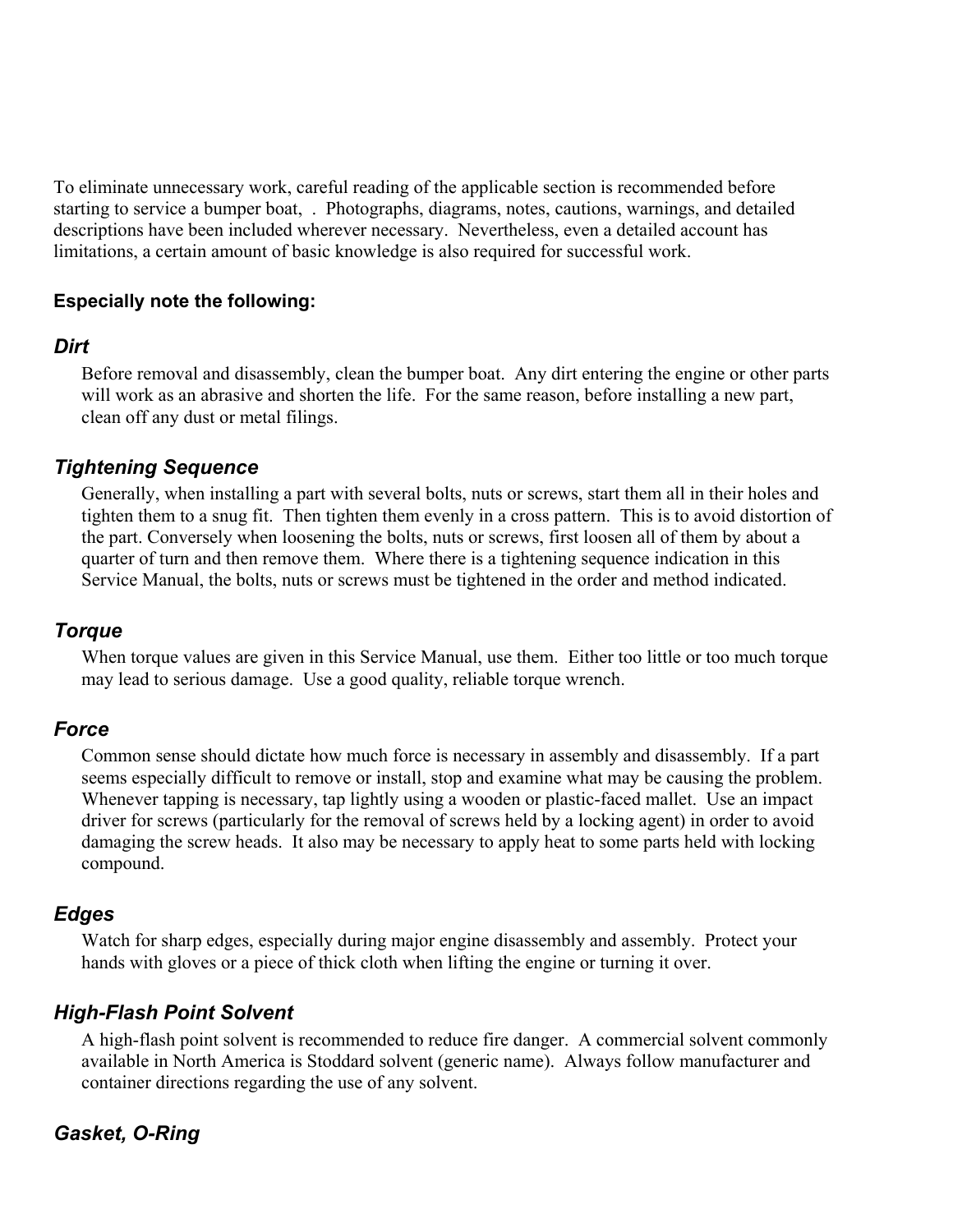To eliminate unnecessary work, careful reading of the applicable section is recommended before starting to service a bumper boat, . Photographs, diagrams, notes, cautions, warnings, and detailed descriptions have been included wherever necessary. Nevertheless, even a detailed account has limitations, a certain amount of basic knowledge is also required for successful work.

### **Especially note the following:**

### *Dirt*

Before removal and disassembly, clean the bumper boat. Any dirt entering the engine or other parts will work as an abrasive and shorten the life. For the same reason, before installing a new part, clean off any dust or metal filings.

### *Tightening Sequence*

Generally, when installing a part with several bolts, nuts or screws, start them all in their holes and tighten them to a snug fit. Then tighten them evenly in a cross pattern. This is to avoid distortion of the part. Conversely when loosening the bolts, nuts or screws, first loosen all of them by about a quarter of turn and then remove them. Where there is a tightening sequence indication in this Service Manual, the bolts, nuts or screws must be tightened in the order and method indicated.

### *Torque*

When torque values are given in this Service Manual, use them. Either too little or too much torque may lead to serious damage. Use a good quality, reliable torque wrench.

### *Force*

Common sense should dictate how much force is necessary in assembly and disassembly. If a part seems especially difficult to remove or install, stop and examine what may be causing the problem. Whenever tapping is necessary, tap lightly using a wooden or plastic-faced mallet. Use an impact driver for screws (particularly for the removal of screws held by a locking agent) in order to avoid damaging the screw heads. It also may be necessary to apply heat to some parts held with locking compound.

### *Edges*

Watch for sharp edges, especially during major engine disassembly and assembly. Protect your hands with gloves or a piece of thick cloth when lifting the engine or turning it over.

### *High-Flash Point Solvent*

A high-flash point solvent is recommended to reduce fire danger. A commercial solvent commonly available in North America is Stoddard solvent (generic name). Always follow manufacturer and container directions regarding the use of any solvent.

## *Gasket, O-Ring*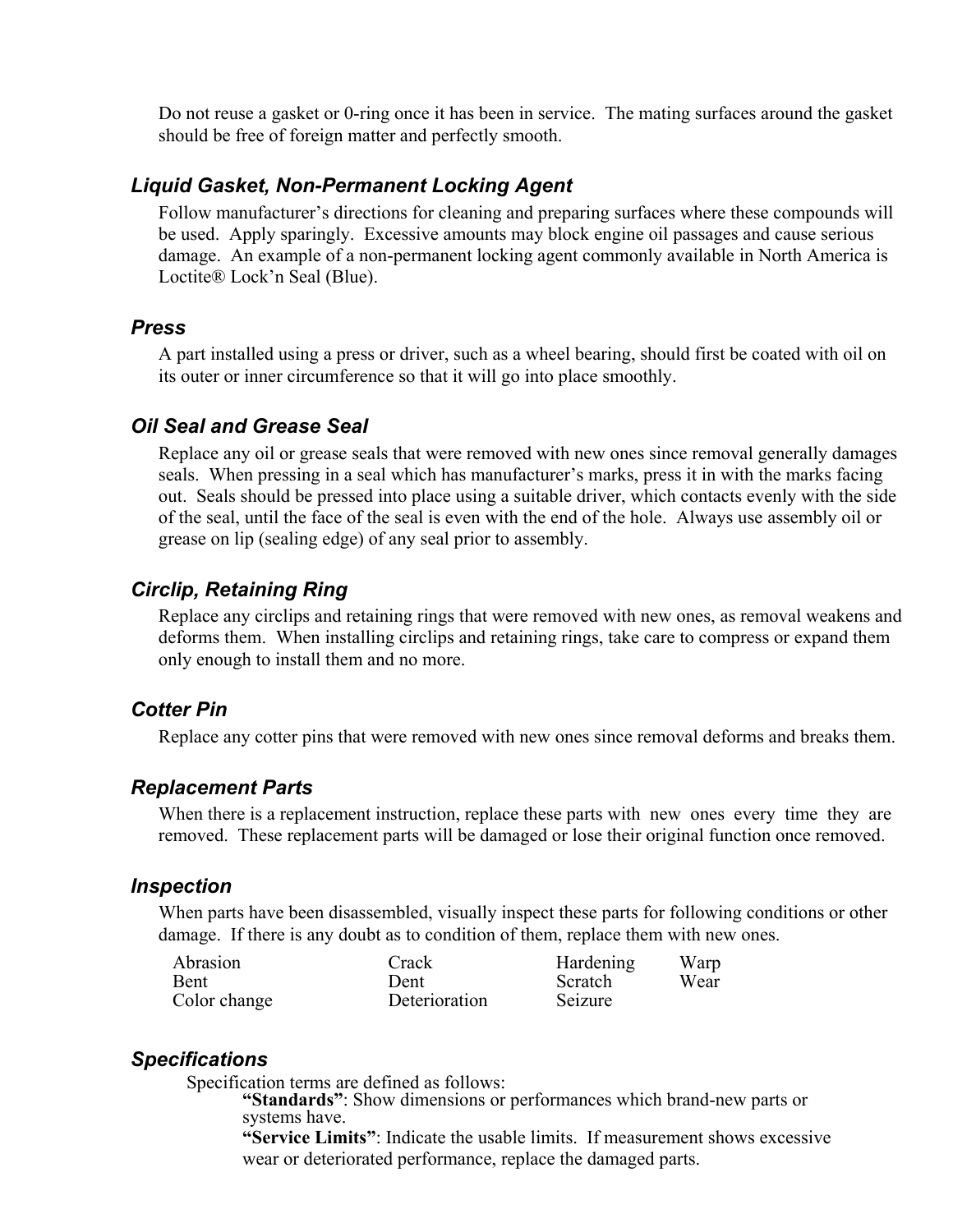Do not reuse a gasket or 0-ring once it has been in service. The mating surfaces around the gasket should be free of foreign matter and perfectly smooth.

### *Liquid Gasket, Non-Permanent Locking Agent*

Follow manufacturer's directions for cleaning and preparing surfaces where these compounds will be used. Apply sparingly. Excessive amounts may block engine oil passages and cause serious damage. An example of a non-permanent locking agent commonly available in North America is Loctite® Lock'n Seal (Blue).

### *Press*

A part installed using a press or driver, such as a wheel bearing, should first be coated with oil on its outer or inner circumference so that it will go into place smoothly.

### *Oil Seal and Grease Seal*

Replace any oil or grease seals that were removed with new ones since removal generally damages seals. When pressing in a seal which has manufacturer's marks, press it in with the marks facing out. Seals should be pressed into place using a suitable driver, which contacts evenly with the side of the seal, until the face of the seal is even with the end of the hole. Always use assembly oil or grease on lip (sealing edge) of any seal prior to assembly.

### *Circlip, Retaining Ring*

Replace any circlips and retaining rings that were removed with new ones, as removal weakens and deforms them. When installing circlips and retaining rings, take care to compress or expand them only enough to install them and no more.

### *Cotter Pin*

Replace any cotter pins that were removed with new ones since removal deforms and breaks them.

### *Replacement Parts*

When there is a replacement instruction, replace these parts with new ones every time they are removed. These replacement parts will be damaged or lose their original function once removed.

### *Inspection*

When parts have been disassembled, visually inspect these parts for following conditions or other damage. If there is any doubt as to condition of them, replace them with new ones.

| Abrasion     | Crack         | Hardening | Warp |
|--------------|---------------|-----------|------|
| <b>Bent</b>  | Dent          | Scratch   | Wear |
| Color change | Deterioration | Seizure   |      |

### *Specifications*

Specification terms are defined as follows:

**"Standards"**: Show dimensions or performances which brand-new parts or systems have.

 **"Service Limits"**: Indicate the usable limits. If measurement shows excessive wear or deteriorated performance, replace the damaged parts.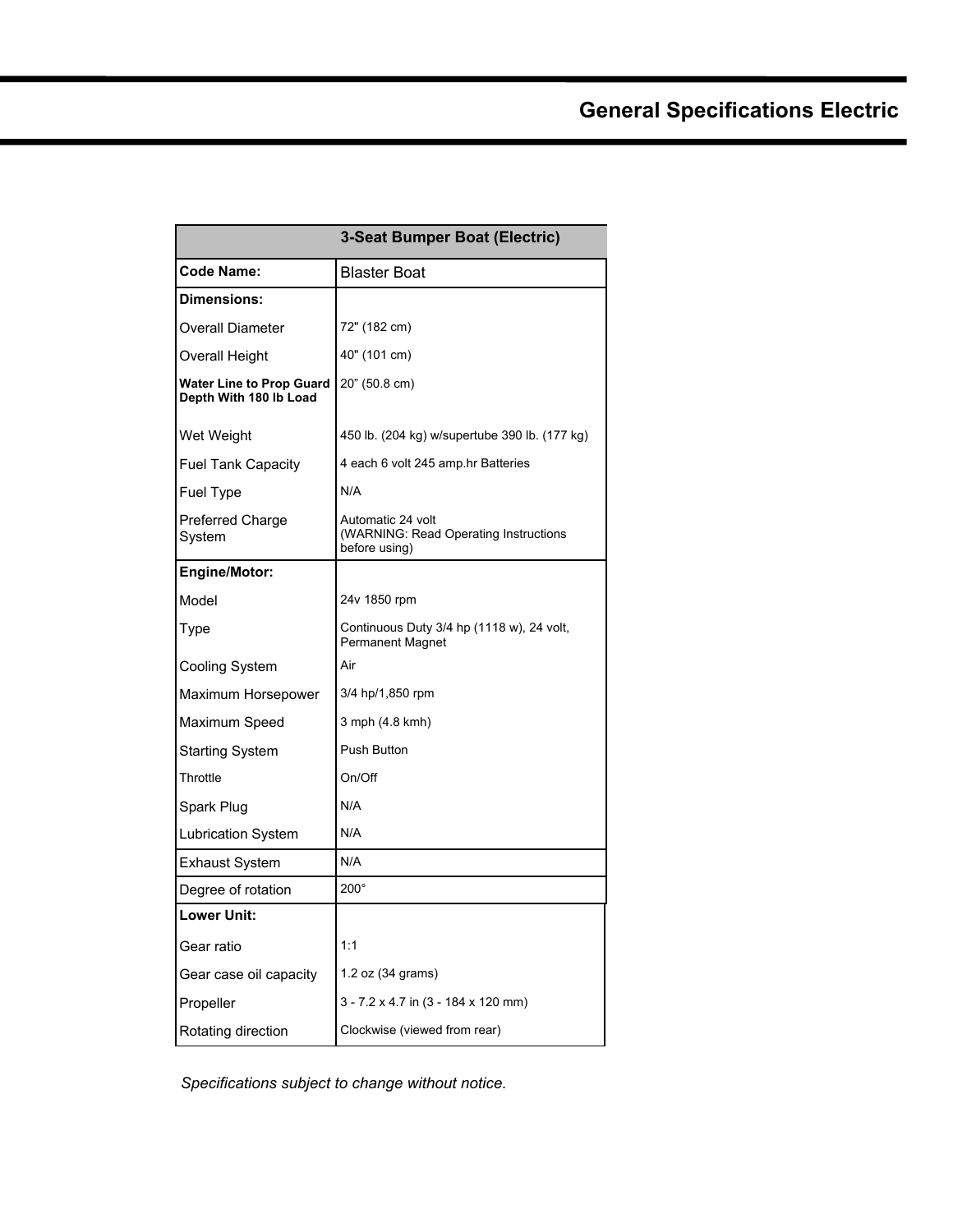## **General Specifications Electric**

|                                                           | <b>3-Seat Bumper Boat (Electric)</b>                                        |
|-----------------------------------------------------------|-----------------------------------------------------------------------------|
| <b>Code Name:</b>                                         | <b>Blaster Boat</b>                                                         |
| Dimensions:                                               |                                                                             |
| <b>Overall Diameter</b>                                   | 72" (182 cm)                                                                |
| Overall Height                                            | 40" (101 cm)                                                                |
| <b>Water Line to Prop Guard</b><br>Depth With 180 lb Load | 20" (50.8 cm)                                                               |
| Wet Weight                                                | 450 lb. (204 kg) w/supertube 390 lb. (177 kg)                               |
| <b>Fuel Tank Capacity</b>                                 | 4 each 6 volt 245 amp hr Batteries                                          |
| Fuel Type                                                 | N/A                                                                         |
| Preferred Charge<br>System                                | Automatic 24 volt<br>(WARNING: Read Operating Instructions<br>before using) |
| Engine/Motor:                                             |                                                                             |
| Model                                                     | 24v 1850 rpm                                                                |
| Type                                                      | Continuous Duty 3/4 hp (1118 w), 24 volt,<br><b>Permanent Magnet</b>        |
| Cooling System                                            | Air                                                                         |
| Maximum Horsepower                                        | 3/4 hp/1,850 rpm                                                            |
| Maximum Speed                                             | 3 mph (4.8 kmh)                                                             |
| <b>Starting System</b>                                    | Push Button                                                                 |
| Throttle                                                  | On/Off                                                                      |
| Spark Plug                                                | N/A                                                                         |
| <b>Lubrication System</b>                                 | N/A                                                                         |
| Exhaust System                                            | N/A                                                                         |
| Degree of rotation                                        | $200^\circ$                                                                 |
| <b>Lower Unit:</b>                                        |                                                                             |
| Gear ratio                                                | 1:1                                                                         |
| Gear case oil capacity                                    | 1.2 oz (34 grams)                                                           |
| Propeller                                                 | $3 - 7.2 \times 4.7$ in (3 - 184 x 120 mm)                                  |
| Rotating direction                                        | Clockwise (viewed from rear)                                                |

*Specifications subject to change without notice.*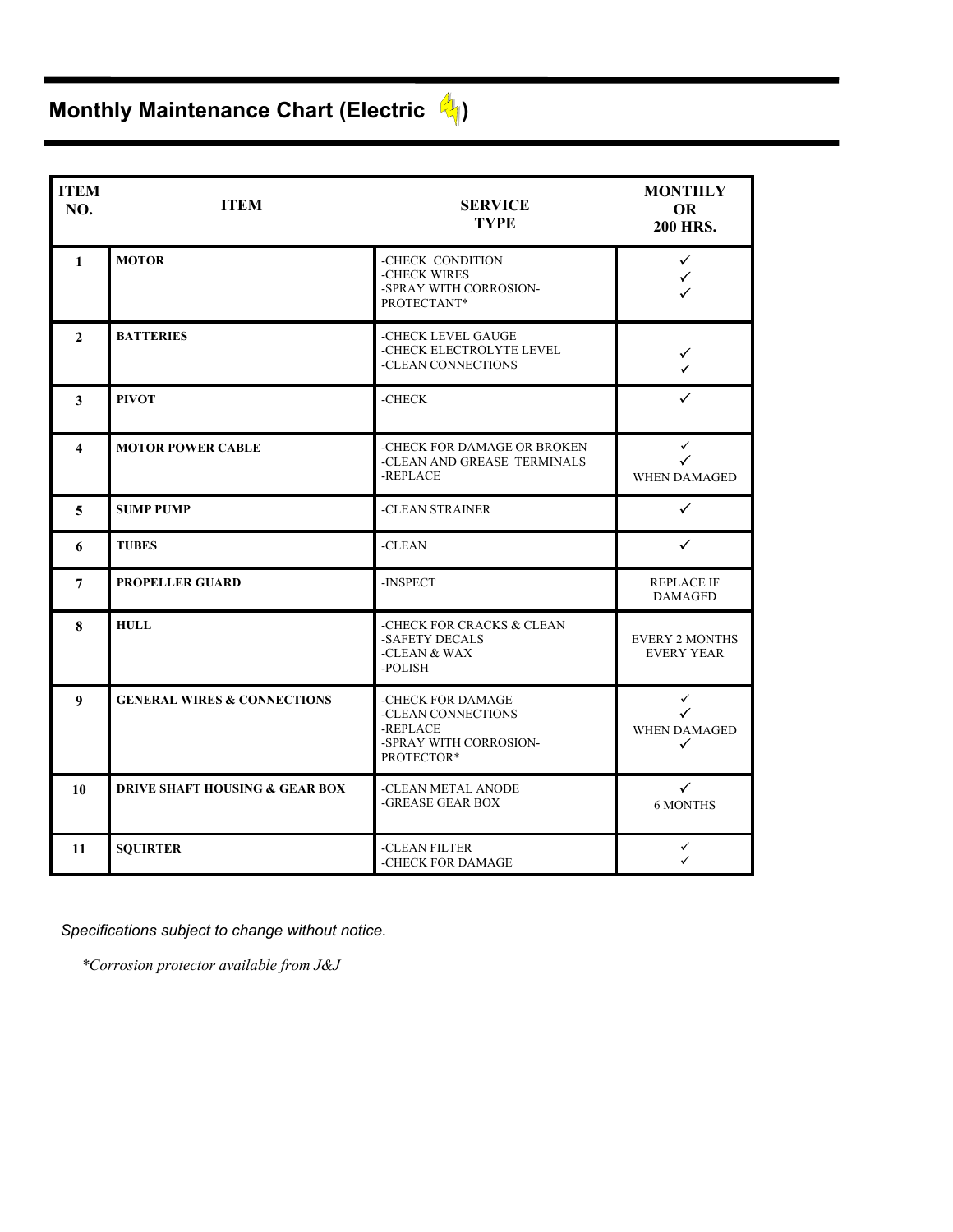# **Monthly Maintenance Chart (Electric**  $\frac{d}{d\phi}$ **)**

| <b>ITEM</b><br>NO.  | <b>ITEM</b>                               | <b>SERVICE</b><br><b>TYPE</b>                                                               | <b>MONTHLY</b><br><b>OR</b><br><b>200 HRS.</b> |
|---------------------|-------------------------------------------|---------------------------------------------------------------------------------------------|------------------------------------------------|
| $\mathbf{1}$        | <b>MOTOR</b>                              | -CHECK CONDITION<br>-CHECK WIRES<br>-SPRAY WITH CORROSION-<br>PROTECTANT*                   | $\checkmark$<br>✓<br>✓                         |
| $\mathbf{2}$        | <b>BATTERIES</b>                          | -CHECK LEVEL GAUGE<br>-CHECK ELECTROLYTE LEVEL<br>-CLEAN CONNECTIONS                        | $\checkmark$<br>J.                             |
| 3                   | <b>PIVOT</b>                              | -CHECK                                                                                      | ✓                                              |
| $\overline{\bf{4}}$ | <b>MOTOR POWER CABLE</b>                  | -CHECK FOR DAMAGE OR BROKEN<br>-CLEAN AND GREASE TERMINALS<br>-REPLACE                      | $\checkmark$<br>✓<br><b>WHEN DAMAGED</b>       |
| 5                   | <b>SUMP PUMP</b>                          | -CLEAN STRAINER                                                                             | ✓                                              |
| 6                   | <b>TUBES</b>                              | -CLEAN                                                                                      | ✓                                              |
| 7                   | <b>PROPELLER GUARD</b>                    | -INSPECT                                                                                    | <b>REPLACE IF</b><br><b>DAMAGED</b>            |
| 8                   | <b>HULL</b>                               | -CHECK FOR CRACKS & CLEAN<br>-SAFETY DECALS<br>-CLEAN & WAX<br>-POLISH                      | <b>EVERY 2 MONTHS</b><br><b>EVERY YEAR</b>     |
| $\boldsymbol{9}$    | <b>GENERAL WIRES &amp; CONNECTIONS</b>    | -CHECK FOR DAMAGE<br>-CLEAN CONNECTIONS<br>-REPLACE<br>-SPRAY WITH CORROSION-<br>PROTECTOR* | $\checkmark$<br>✓<br>WHEN DAMAGED<br>✓         |
| 10                  | <b>DRIVE SHAFT HOUSING &amp; GEAR BOX</b> | -CLEAN METAL ANODE<br>-GREASE GEAR BOX                                                      | $\checkmark$<br><b>6 MONTHS</b>                |
| 11                  | <b>SQUIRTER</b>                           | -CLEAN FILTER<br>-CHECK FOR DAMAGE                                                          | ✓<br>✓                                         |

*Specifications subject to change without notice.*

*\*Corrosion protector available from J&J*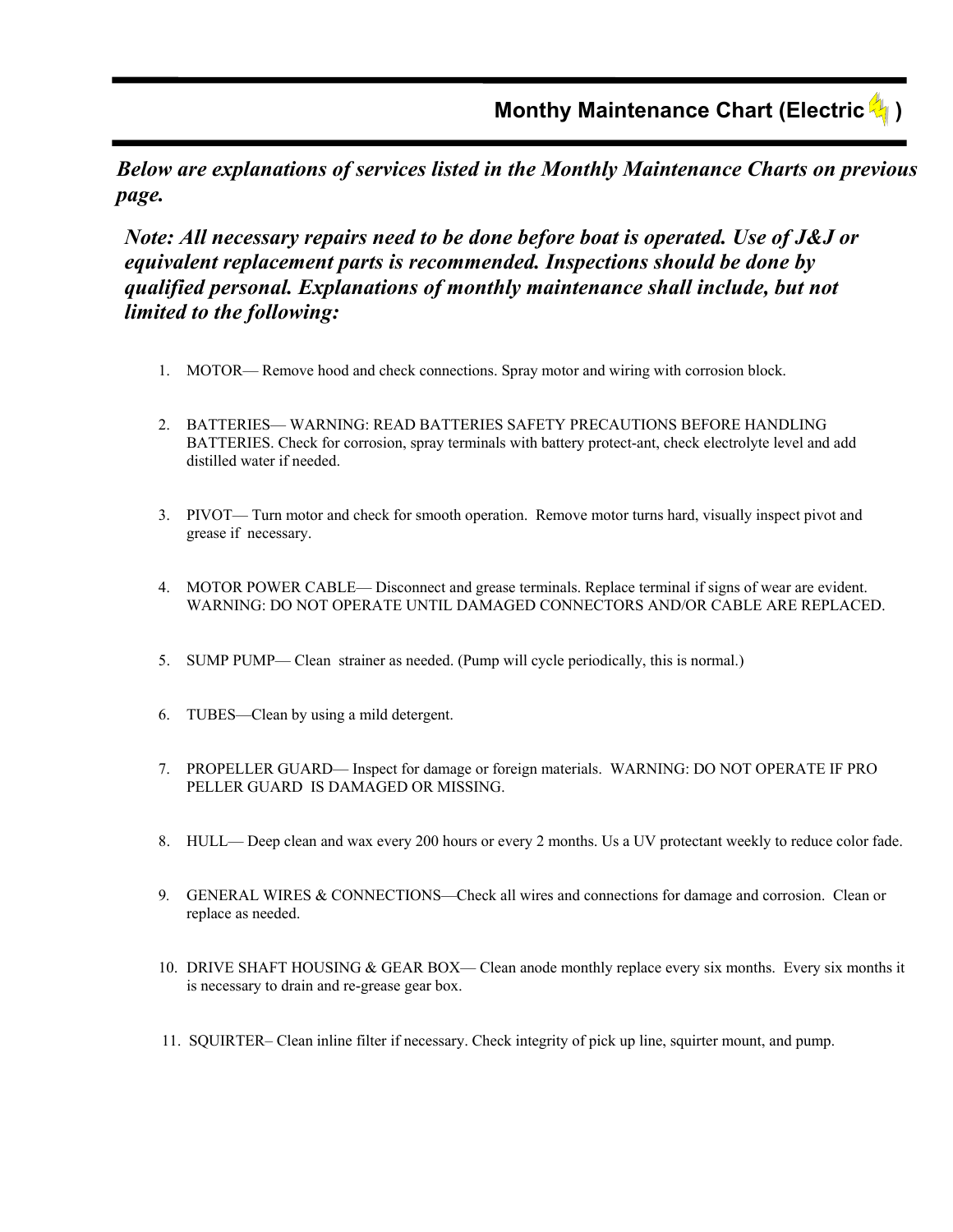*Below are explanations of services listed in the Monthly Maintenance Charts on previous page.* 

*Note: All necessary repairs need to be done before boat is operated. Use of J&J or equivalent replacement parts is recommended. Inspections should be done by qualified personal. Explanations of monthly maintenance shall include, but not limited to the following:* 

- 1. MOTOR— Remove hood and check connections. Spray motor and wiring with corrosion block.
- 2. BATTERIES— WARNING: READ BATTERIES SAFETY PRECAUTIONS BEFORE HANDLING BATTERIES. Check for corrosion, spray terminals with battery protect-ant, check electrolyte level and add distilled water if needed.
- 3. PIVOT— Turn motor and check for smooth operation. Remove motor turns hard, visually inspect pivot and grease if necessary.
- 4. MOTOR POWER CABLE— Disconnect and grease terminals. Replace terminal if signs of wear are evident. WARNING: DO NOT OPERATE UNTIL DAMAGED CONNECTORS AND/OR CABLE ARE REPLACED.
- 5. SUMP PUMP— Clean strainer as needed. (Pump will cycle periodically, this is normal.)
- 6. TUBES—Clean by using a mild detergent.
- 7. PROPELLER GUARD— Inspect for damage or foreign materials. WARNING: DO NOT OPERATE IF PRO PELLER GUARD IS DAMAGED OR MISSING.
- 8. HULL— Deep clean and wax every 200 hours or every 2 months. Us a UV protectant weekly to reduce color fade.
- 9*.* GENERAL WIRES & CONNECTIONS—Check all wires and connections for damage and corrosion. Clean or replace as needed.
- 10. DRIVE SHAFT HOUSING & GEAR BOX— Clean anode monthly replace every six months. Every six months it is necessary to drain and re-grease gear box.
- 11. SQUIRTER– Clean inline filter if necessary. Check integrity of pick up line, squirter mount, and pump.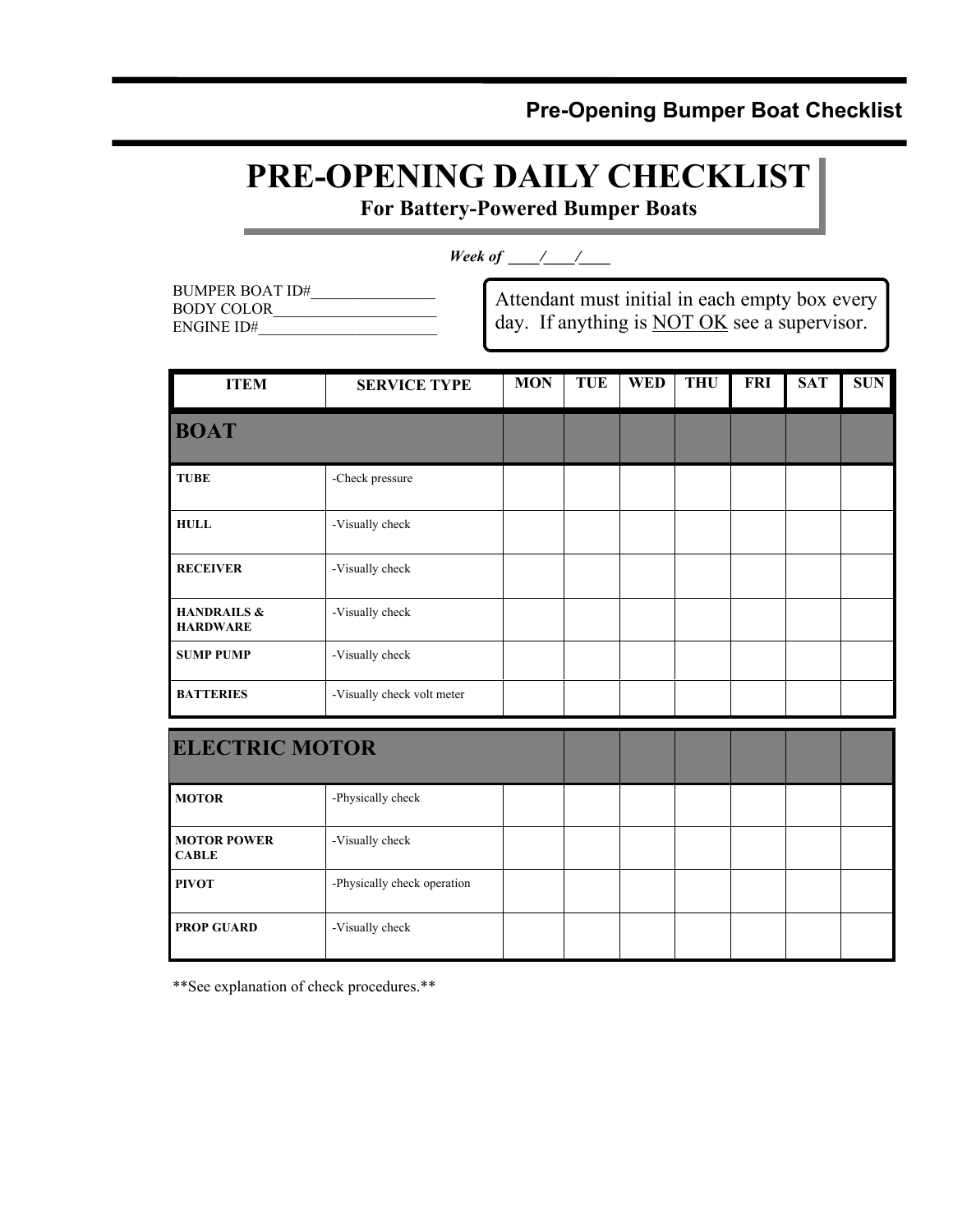## **Pre-Opening Bumper Boat Checklist**

## **PRE-OPENING DAILY CHECKLIST**

**For Battery-Powered Bumper Boats** 

*Week of \_\_\_\_/\_\_\_/\_\_\_* 

| BUMPER BOAT ID# |  |
|-----------------|--|
| BODY COLOR      |  |
| ENGINE ID#      |  |

Attendant must initial in each empty box every day. If anything is **NOT OK** see a supervisor.

| <b>ITEM</b>                               | <b>SERVICE TYPE</b>        | <b>MON</b> | TUE | <b>WED</b> | <b>THU</b> | FRI | <b>SAT</b> | <b>SUN</b> |
|-------------------------------------------|----------------------------|------------|-----|------------|------------|-----|------------|------------|
| <b>BOAT</b>                               |                            |            |     |            |            |     |            |            |
| <b>TUBE</b>                               | -Check pressure            |            |     |            |            |     |            |            |
| <b>HULL</b>                               | -Visually check            |            |     |            |            |     |            |            |
| <b>RECEIVER</b>                           | -Visually check            |            |     |            |            |     |            |            |
| <b>HANDRAILS &amp;</b><br><b>HARDWARE</b> | -Visually check            |            |     |            |            |     |            |            |
| <b>SUMP PUMP</b>                          | -Visually check            |            |     |            |            |     |            |            |
| <b>BATTERIES</b>                          | -Visually check volt meter |            |     |            |            |     |            |            |

| <b>ELECTRIC MOTOR</b>              |                             |  |  |  |  |
|------------------------------------|-----------------------------|--|--|--|--|
| <b>MOTOR</b>                       | -Physically check           |  |  |  |  |
| <b>MOTOR POWER</b><br><b>CABLE</b> | -Visually check             |  |  |  |  |
| <b>PIVOT</b>                       | -Physically check operation |  |  |  |  |
| <b>PROP GUARD</b>                  | -Visually check             |  |  |  |  |

\*\*See explanation of check procedures.\*\*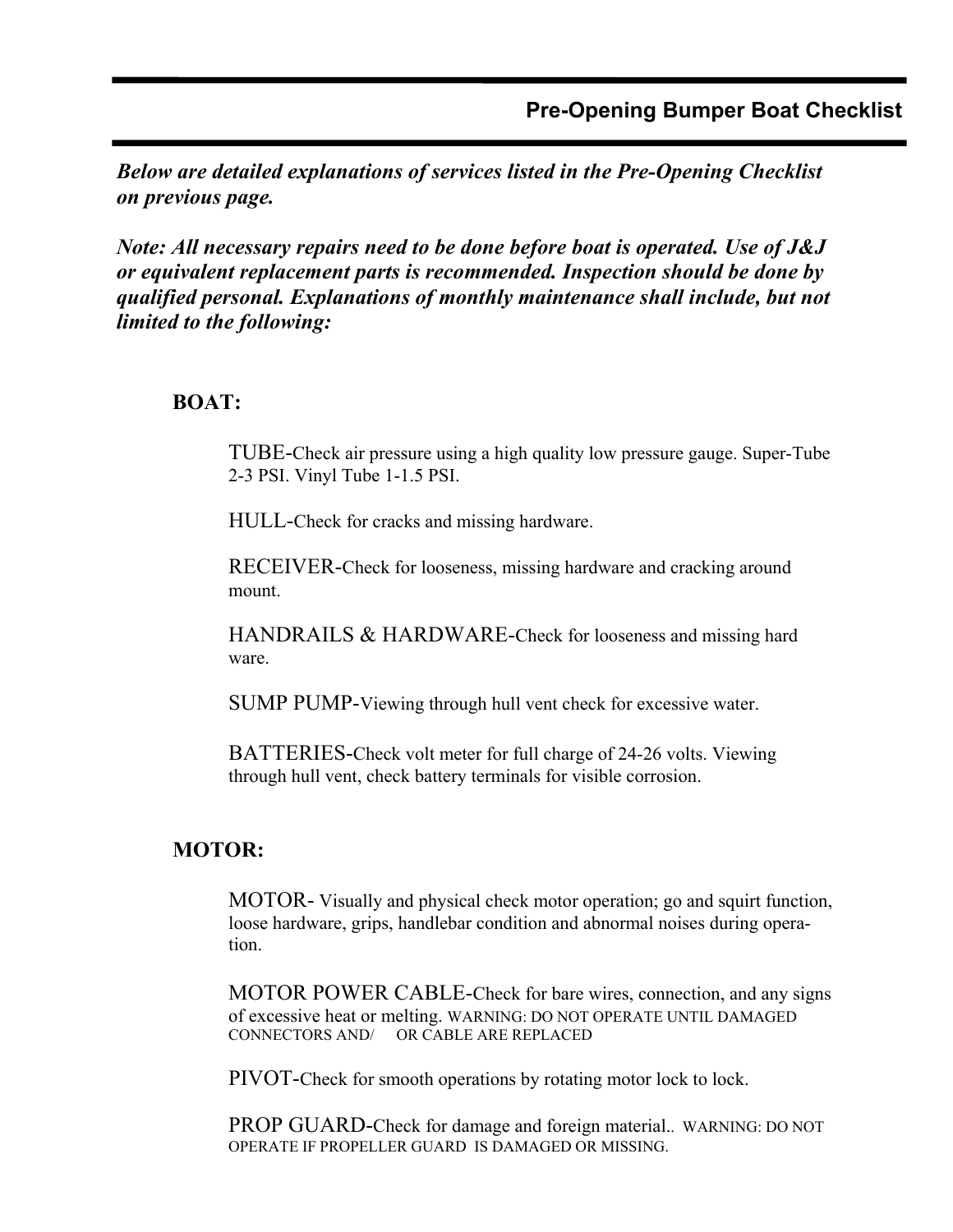*Below are detailed explanations of services listed in the Pre-Opening Checklist on previous page.* 

*Note: All necessary repairs need to be done before boat is operated. Use of J&J or equivalent replacement parts is recommended. Inspection should be done by qualified personal. Explanations of monthly maintenance shall include, but not limited to the following:* 

### **BOAT:**

TUBE-Check air pressure using a high quality low pressure gauge. Super-Tube 2-3 PSI. Vinyl Tube 1-1.5 PSI.

HULL-Check for cracks and missing hardware.

 RECEIVER-Check for looseness, missing hardware and cracking around mount.

 HANDRAILS & HARDWARE-Check for looseness and missing hard ware.

SUMP PUMP-Viewing through hull vent check for excessive water.

 BATTERIES-Check volt meter for full charge of 24-26 volts. Viewing through hull vent, check battery terminals for visible corrosion.

### **MOTOR:**

MOTOR- Visually and physical check motor operation; go and squirt function, loose hardware, grips, handlebar condition and abnormal noises during opera tion.

 MOTOR POWER CABLE-Check for bare wires, connection, and any signs of excessive heat or melting. WARNING: DO NOT OPERATE UNTIL DAMAGED CONNECTORS AND/ OR CABLE ARE REPLACED

PIVOT-Check for smooth operations by rotating motor lock to lock.

 PROP GUARD-Check for damage and foreign material.. WARNING: DO NOT OPERATE IF PROPELLER GUARD IS DAMAGED OR MISSING.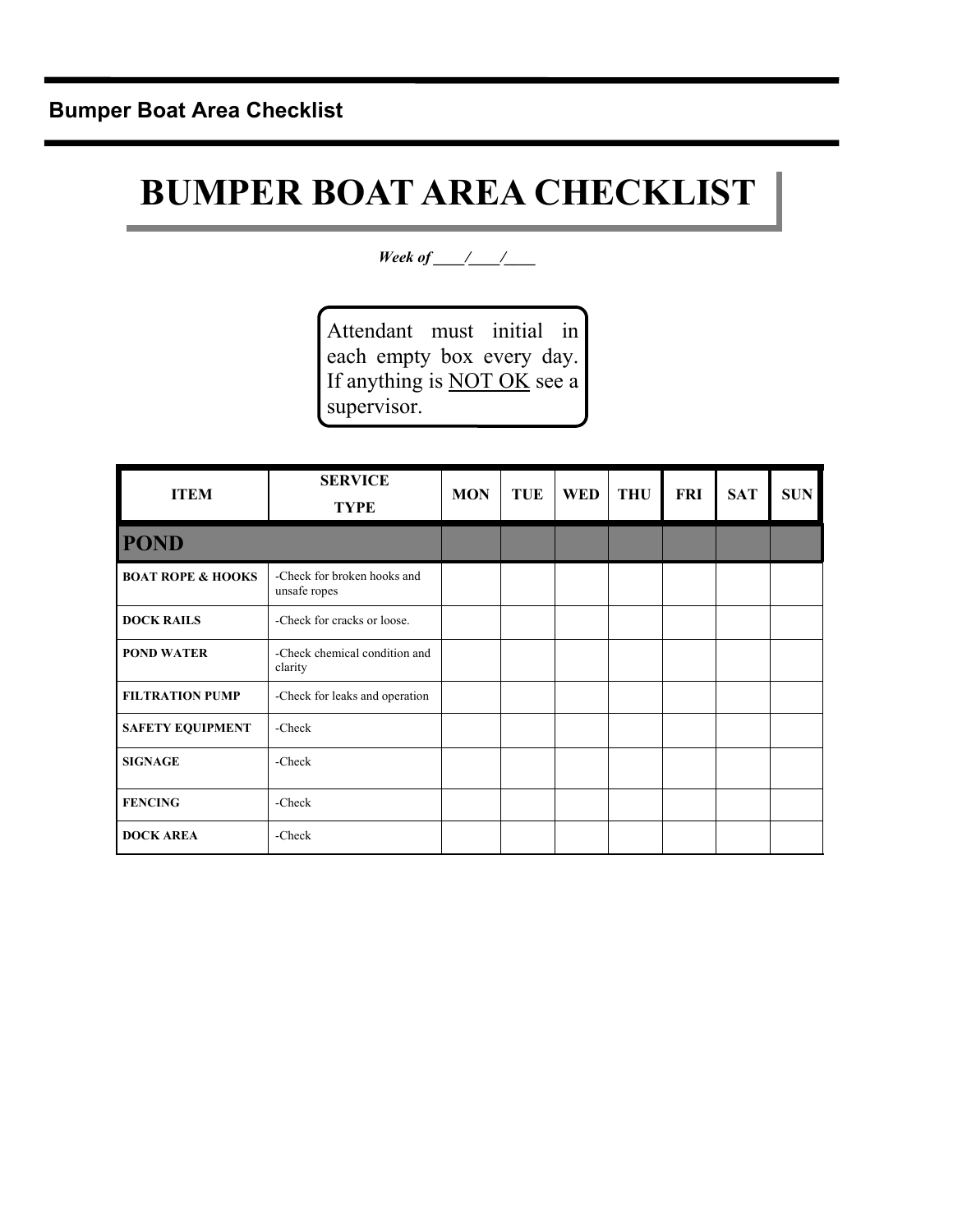# **BUMPER BOAT AREA CHECKLIST**

*Week of \_\_\_\_/\_\_\_/\_\_\_* 

Attendant must initial in each empty box every day. If anything is **NOT OK** see a supervisor.

| <b>ITEM</b>                  | <b>SERVICE</b><br><b>TYPE</b>               | <b>MON</b> | <b>TUE</b> | <b>WED</b> | <b>THU</b> | FRI | <b>SAT</b> | <b>SUN</b> |
|------------------------------|---------------------------------------------|------------|------------|------------|------------|-----|------------|------------|
| <b>POND</b>                  |                                             |            |            |            |            |     |            |            |
| <b>BOAT ROPE &amp; HOOKS</b> | -Check for broken hooks and<br>unsafe ropes |            |            |            |            |     |            |            |
| <b>DOCK RAILS</b>            | -Check for cracks or loose.                 |            |            |            |            |     |            |            |
| <b>POND WATER</b>            | -Check chemical condition and<br>clarity    |            |            |            |            |     |            |            |
| <b>FILTRATION PUMP</b>       | -Check for leaks and operation              |            |            |            |            |     |            |            |
| <b>SAFETY EQUIPMENT</b>      | -Check                                      |            |            |            |            |     |            |            |
| <b>SIGNAGE</b>               | -Check                                      |            |            |            |            |     |            |            |
| <b>FENCING</b>               | -Check                                      |            |            |            |            |     |            |            |
| <b>DOCK AREA</b>             | -Check                                      |            |            |            |            |     |            |            |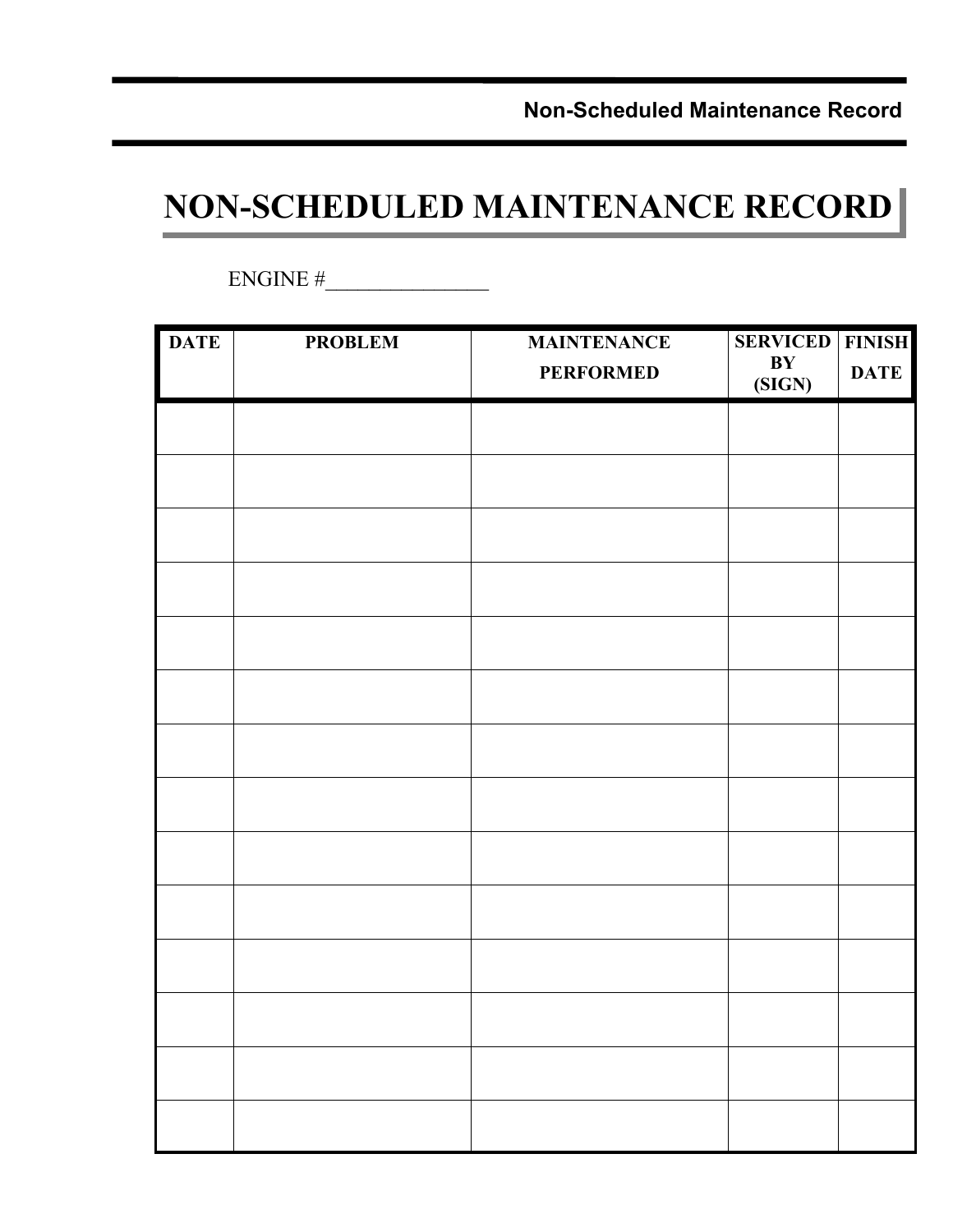**Non-Scheduled Maintenance Record** 

## **NON-SCHEDULED MAINTENANCE RECORD**

 $ENGINE \#$ 

| <b>DATE</b> | <b>PROBLEM</b> | <b>MAINTENANCE</b><br><b>PERFORMED</b> | <b>SERVICED</b><br>$\mathbf{B}\mathbf{Y}$<br>(SIGN) | <b>FINISH</b><br><b>DATE</b> |
|-------------|----------------|----------------------------------------|-----------------------------------------------------|------------------------------|
|             |                |                                        |                                                     |                              |
|             |                |                                        |                                                     |                              |
|             |                |                                        |                                                     |                              |
|             |                |                                        |                                                     |                              |
|             |                |                                        |                                                     |                              |
|             |                |                                        |                                                     |                              |
|             |                |                                        |                                                     |                              |
|             |                |                                        |                                                     |                              |
|             |                |                                        |                                                     |                              |
|             |                |                                        |                                                     |                              |
|             |                |                                        |                                                     |                              |
|             |                |                                        |                                                     |                              |
|             |                |                                        |                                                     |                              |
|             |                |                                        |                                                     |                              |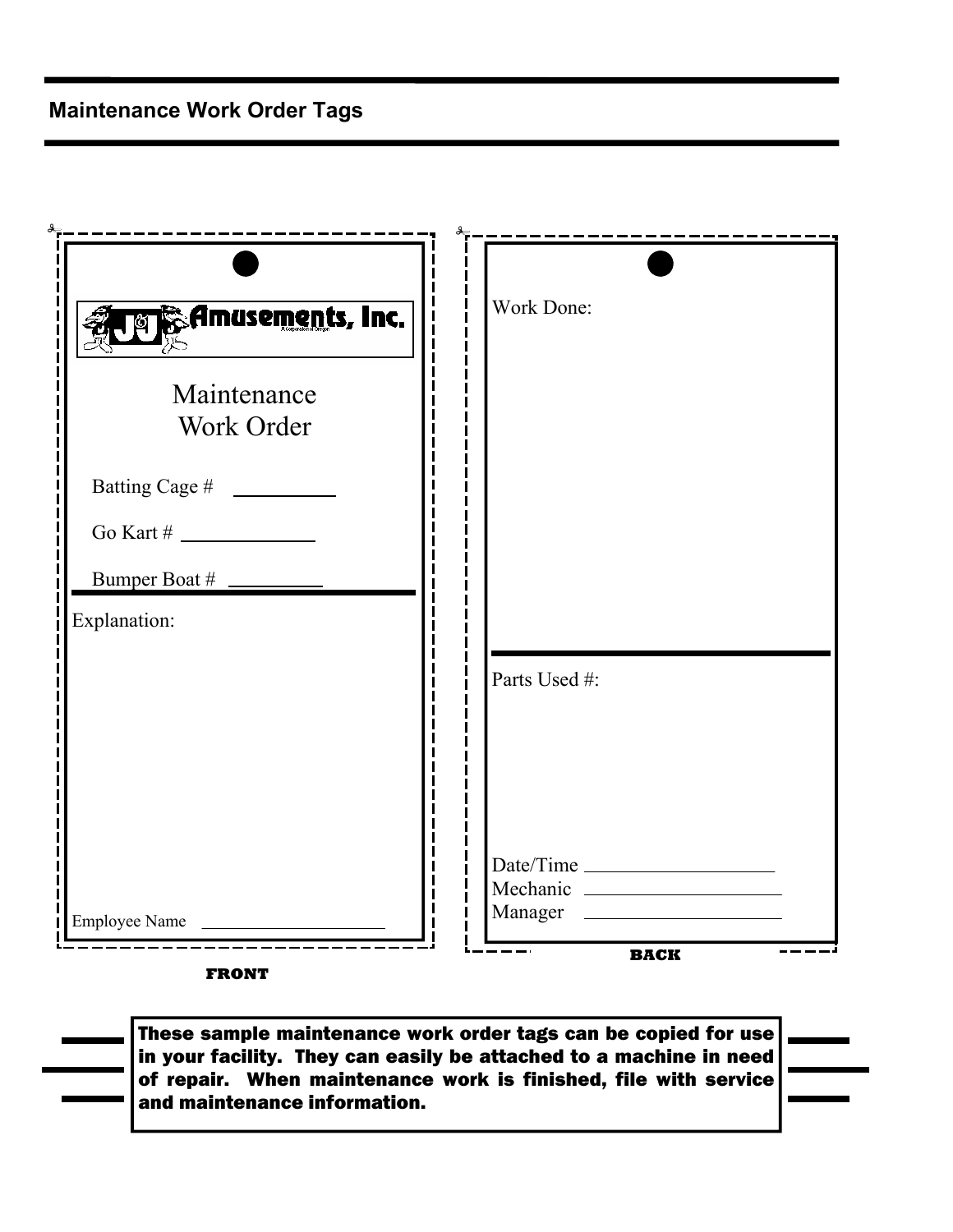| <b><u><b>Derived</b></u> Seminatements, Inc.</b> | <b>Work Done:</b> |
|--------------------------------------------------|-------------------|
| Maintenance                                      |                   |
| Work Order                                       |                   |
|                                                  |                   |
|                                                  |                   |
|                                                  |                   |
| Explanation:                                     |                   |
|                                                  | Parts Used #:     |
|                                                  |                   |
|                                                  |                   |
|                                                  | Date/Time         |
|                                                  |                   |
| Employee Name                                    | Manager           |

**FRONT** 

These sample maintenance work order tags can be copied for use in your facility. They can easily be attached to a machine in need of repair. When maintenance work is finished, file with service and maintenance information.